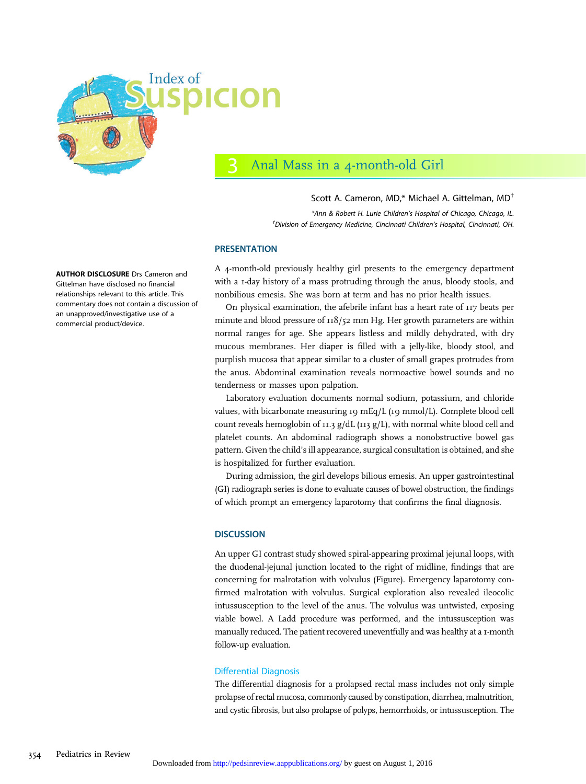

# Anal Mass in a 4-month-old Girl

# Scott A. Cameron, MD,\* Michael A. Gittelman, MD†

\*Ann & Robert H. Lurie Children's Hospital of Chicago, Chicago, IL. † Division of Emergency Medicine, Cincinnati Children's Hospital, Cincinnati, OH.

## **PRESENTATION**

A 4-month-old previously healthy girl presents to the emergency department with a 1-day history of a mass protruding through the anus, bloody stools, and nonbilious emesis. She was born at term and has no prior health issues.

On physical examination, the afebrile infant has a heart rate of 117 beats per minute and blood pressure of 118/52 mm Hg. Her growth parameters are within normal ranges for age. She appears listless and mildly dehydrated, with dry mucous membranes. Her diaper is filled with a jelly-like, bloody stool, and purplish mucosa that appear similar to a cluster of small grapes protrudes from the anus. Abdominal examination reveals normoactive bowel sounds and no tenderness or masses upon palpation.

Laboratory evaluation documents normal sodium, potassium, and chloride values, with bicarbonate measuring 19 mEq/L (19 mmol/L). Complete blood cell count reveals hemoglobin of 11.3 g/dL (113 g/L), with normal white blood cell and platelet counts. An abdominal radiograph shows a nonobstructive bowel gas pattern. Given the child's ill appearance, surgical consultation is obtained, and she is hospitalized for further evaluation.

During admission, the girl develops bilious emesis. An upper gastrointestinal (GI) radiograph series is done to evaluate causes of bowel obstruction, the findings of which prompt an emergency laparotomy that confirms the final diagnosis.

# **DISCUSSION**

An upper GI contrast study showed spiral-appearing proximal jejunal loops, with the duodenal-jejunal junction located to the right of midline, findings that are concerning for malrotation with volvulus (Figure). Emergency laparotomy confirmed malrotation with volvulus. Surgical exploration also revealed ileocolic intussusception to the level of the anus. The volvulus was untwisted, exposing viable bowel. A Ladd procedure was performed, and the intussusception was manually reduced. The patient recovered uneventfully and was healthy at a 1-month follow-up evaluation.

#### Differential Diagnosis

The differential diagnosis for a prolapsed rectal mass includes not only simple prolapse of rectal mucosa, commonly caused by constipation, diarrhea, malnutrition, and cystic fibrosis, but also prolapse of polyps, hemorrhoids, or intussusception. The

AUTHOR DISCLOSURE Drs Cameron and Gittelman have disclosed no financial relationships relevant to this article. This commentary does not contain a discussion of an unapproved/investigative use of a commercial product/device.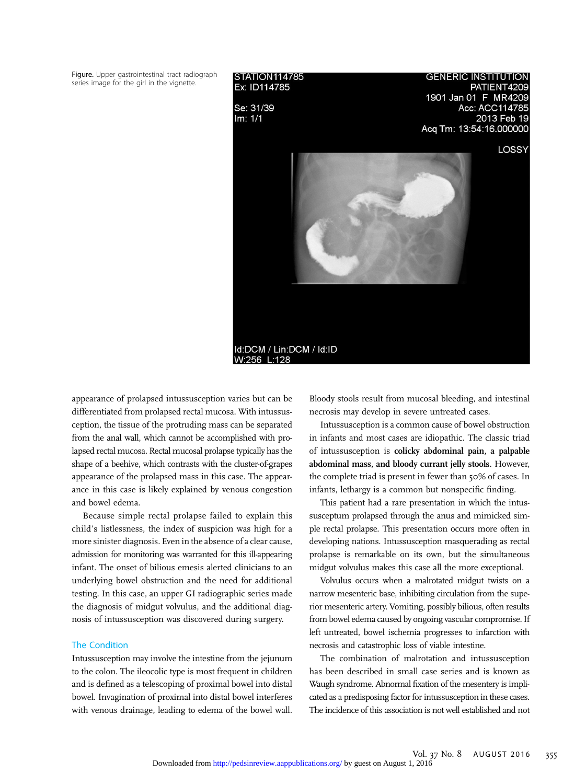Figure. Upper gastrointestinal tract radiograph series image for the girl in the vignette.



appearance of prolapsed intussusception varies but can be differentiated from prolapsed rectal mucosa. With intussusception, the tissue of the protruding mass can be separated from the anal wall, which cannot be accomplished with prolapsed rectal mucosa. Rectal mucosal prolapse typically has the shape of a beehive, which contrasts with the cluster-of-grapes appearance of the prolapsed mass in this case. The appearance in this case is likely explained by venous congestion and bowel edema.

Because simple rectal prolapse failed to explain this child's listlessness, the index of suspicion was high for a more sinister diagnosis. Even in the absence of a clear cause, admission for monitoring was warranted for this ill-appearing infant. The onset of bilious emesis alerted clinicians to an underlying bowel obstruction and the need for additional testing. In this case, an upper GI radiographic series made the diagnosis of midgut volvulus, and the additional diagnosis of intussusception was discovered during surgery.

#### The Condition

Intussusception may involve the intestine from the jejunum to the colon. The ileocolic type is most frequent in children and is defined as a telescoping of proximal bowel into distal bowel. Invagination of proximal into distal bowel interferes with venous drainage, leading to edema of the bowel wall.

Bloody stools result from mucosal bleeding, and intestinal necrosis may develop in severe untreated cases.

Intussusception is a common cause of bowel obstruction in infants and most cases are idiopathic. The classic triad of intussusception is colicky abdominal pain, a palpable abdominal mass, and bloody currant jelly stools. However, the complete triad is present in fewer than 50% of cases. In infants, lethargy is a common but nonspecific finding.

This patient had a rare presentation in which the intussusceptum prolapsed through the anus and mimicked simple rectal prolapse. This presentation occurs more often in developing nations. Intussusception masquerading as rectal prolapse is remarkable on its own, but the simultaneous midgut volvulus makes this case all the more exceptional.

Volvulus occurs when a malrotated midgut twists on a narrow mesenteric base, inhibiting circulation from the superior mesenteric artery. Vomiting, possibly bilious, often results from bowel edema caused by ongoing vascular compromise. If left untreated, bowel ischemia progresses to infarction with necrosis and catastrophic loss of viable intestine.

The combination of malrotation and intussusception has been described in small case series and is known as Waugh syndrome. Abnormal fixation of the mesentery is implicated as a predisposing factor for intussusception in these cases. The incidence of this association is not well established and not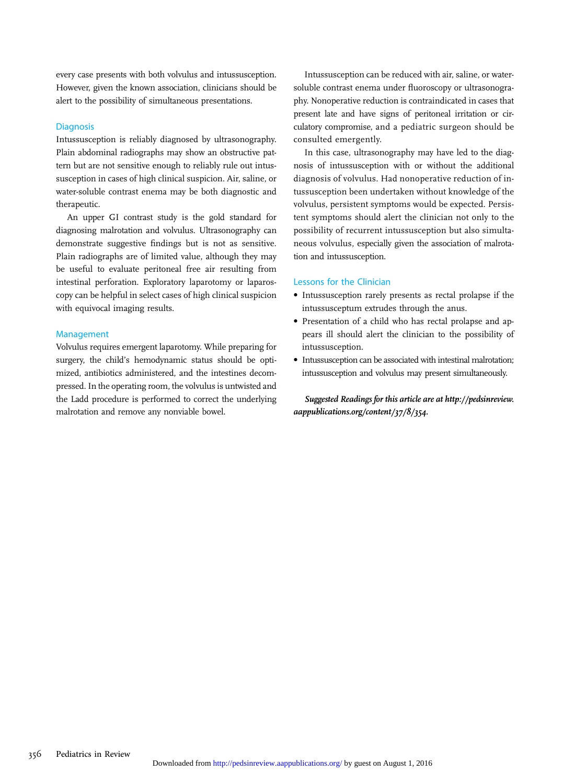every case presents with both volvulus and intussusception. However, given the known association, clinicians should be alert to the possibility of simultaneous presentations.

#### **Diagnosis**

Intussusception is reliably diagnosed by ultrasonography. Plain abdominal radiographs may show an obstructive pattern but are not sensitive enough to reliably rule out intussusception in cases of high clinical suspicion. Air, saline, or water-soluble contrast enema may be both diagnostic and therapeutic.

An upper GI contrast study is the gold standard for diagnosing malrotation and volvulus. Ultrasonography can demonstrate suggestive findings but is not as sensitive. Plain radiographs are of limited value, although they may be useful to evaluate peritoneal free air resulting from intestinal perforation. Exploratory laparotomy or laparoscopy can be helpful in select cases of high clinical suspicion with equivocal imaging results.

### Management

Volvulus requires emergent laparotomy. While preparing for surgery, the child's hemodynamic status should be optimized, antibiotics administered, and the intestines decompressed. In the operating room, the volvulus is untwisted and the Ladd procedure is performed to correct the underlying malrotation and remove any nonviable bowel.

Intussusception can be reduced with air, saline, or watersoluble contrast enema under fluoroscopy or ultrasonography. Nonoperative reduction is contraindicated in cases that present late and have signs of peritoneal irritation or circulatory compromise, and a pediatric surgeon should be consulted emergently.

In this case, ultrasonography may have led to the diagnosis of intussusception with or without the additional diagnosis of volvulus. Had nonoperative reduction of intussusception been undertaken without knowledge of the volvulus, persistent symptoms would be expected. Persistent symptoms should alert the clinician not only to the possibility of recurrent intussusception but also simultaneous volvulus, especially given the association of malrotation and intussusception.

#### Lessons for the Clinician

- Intussusception rarely presents as rectal prolapse if the intussusceptum extrudes through the anus.
- Presentation of a child who has rectal prolapse and appears ill should alert the clinician to the possibility of intussusception.
- Intussusception can be associated with intestinal malrotation; intussusception and volvulus may present simultaneously.

Suggested Readings for this article are at [http://pedsinreview.](http://pedsinreview.aappublications.org/content/37/8/354) [aappublications.org/content/37/8/354](http://pedsinreview.aappublications.org/content/37/8/354).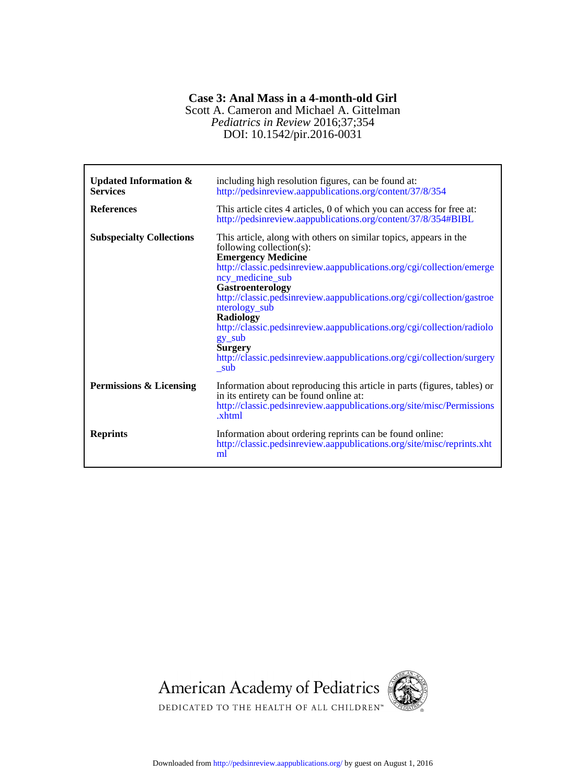# **Case 3: Anal Mass in a 4-month-old Girl**

DOI: 10.1542/pir.2016-0031 *Pediatrics in Review* 2016;37;354 Scott A. Cameron and Michael A. Gittelman

| <b>Updated Information &amp;</b><br><b>Services</b><br><b>References</b> | including high resolution figures, can be found at:<br>http://pedsinreview.aappublications.org/content/37/8/354<br>This article cites 4 articles, 0 of which you can access for free at:<br>http://pedsinreview.aappublications.org/content/37/8/354#BIBL                                                                                                                                                                                                                                                                                  |
|--------------------------------------------------------------------------|--------------------------------------------------------------------------------------------------------------------------------------------------------------------------------------------------------------------------------------------------------------------------------------------------------------------------------------------------------------------------------------------------------------------------------------------------------------------------------------------------------------------------------------------|
| <b>Subspecialty Collections</b>                                          | This article, along with others on similar topics, appears in the<br>following collection(s):<br><b>Emergency Medicine</b><br>http://classic.pedsinreview.aappublications.org/cgi/collection/emerge<br>ncy_medicine_sub<br>Gastroenterology<br>http://classic.pedsinreview.aappublications.org/cgi/collection/gastroe<br>nterology_sub<br>Radiology<br>http://classic.pedsinreview.aappublications.org/cgi/collection/radiolo<br>gy_sub<br><b>Surgery</b><br>http://classic.pedsinreview.aappublications.org/cgi/collection/surgery<br>sub |
| <b>Permissions &amp; Licensing</b>                                       | Information about reproducing this article in parts (figures, tables) or<br>in its entirety can be found online at:<br>http://classic.pedsinreview.aappublications.org/site/misc/Permissions<br>.xhtml                                                                                                                                                                                                                                                                                                                                     |
| <b>Reprints</b>                                                          | Information about ordering reprints can be found online:<br>http://classic.pedsinreview.aappublications.org/site/misc/reprints.xht<br>m                                                                                                                                                                                                                                                                                                                                                                                                    |